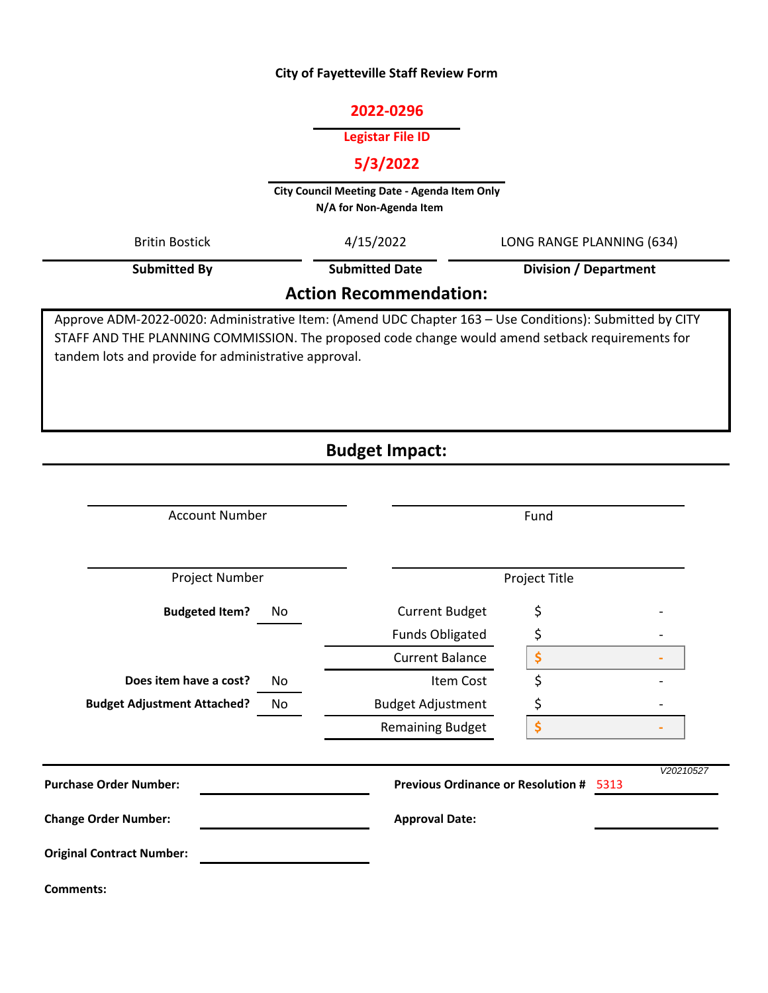## **City of Fayetteville Staff Review Form**

### **2022‐0296**

## **Legistar File ID**

## **5/3/2022**

**City Council Meeting Date ‐ Agenda Item Only N/A for Non‐Agenda Item** 

| <b>Britin Bostick</b>                                                                                                                                                                                                                                               | 4/15/2022             | LONG RANGE PLANNING (634)    |  |  |  |  |  |
|---------------------------------------------------------------------------------------------------------------------------------------------------------------------------------------------------------------------------------------------------------------------|-----------------------|------------------------------|--|--|--|--|--|
| <b>Submitted By</b>                                                                                                                                                                                                                                                 | <b>Submitted Date</b> | <b>Division / Department</b> |  |  |  |  |  |
| <b>Action Recommendation:</b>                                                                                                                                                                                                                                       |                       |                              |  |  |  |  |  |
| Approve ADM-2022-0020: Administrative Item: (Amend UDC Chapter 163 – Use Conditions): Submitted by CITY<br>STAFF AND THE PLANNING COMMISSION. The proposed code change would amend setback requirements for<br>tandem lots and provide for administrative approval. |                       |                              |  |  |  |  |  |

# **Budget Impact:**

| <b>Account Number</b>              |    | Fund                                              |    |           |  |
|------------------------------------|----|---------------------------------------------------|----|-----------|--|
| Project Number                     |    | Project Title                                     |    |           |  |
| <b>Budgeted Item?</b>              | No | <b>Current Budget</b>                             | \$ |           |  |
|                                    |    | <b>Funds Obligated</b>                            | \$ |           |  |
|                                    |    | <b>Current Balance</b>                            | \$ |           |  |
| Does item have a cost?             | No | Item Cost                                         | \$ |           |  |
| <b>Budget Adjustment Attached?</b> | No | <b>Budget Adjustment</b>                          | \$ |           |  |
|                                    |    | <b>Remaining Budget</b>                           | \$ |           |  |
| <b>Purchase Order Number:</b>      |    | <b>Previous Ordinance or Resolution #</b><br>5313 |    | V20210527 |  |
| <b>Change Order Number:</b>        |    | <b>Approval Date:</b>                             |    |           |  |
| <b>Original Contract Number:</b>   |    |                                                   |    |           |  |
| <b>Comments:</b>                   |    |                                                   |    |           |  |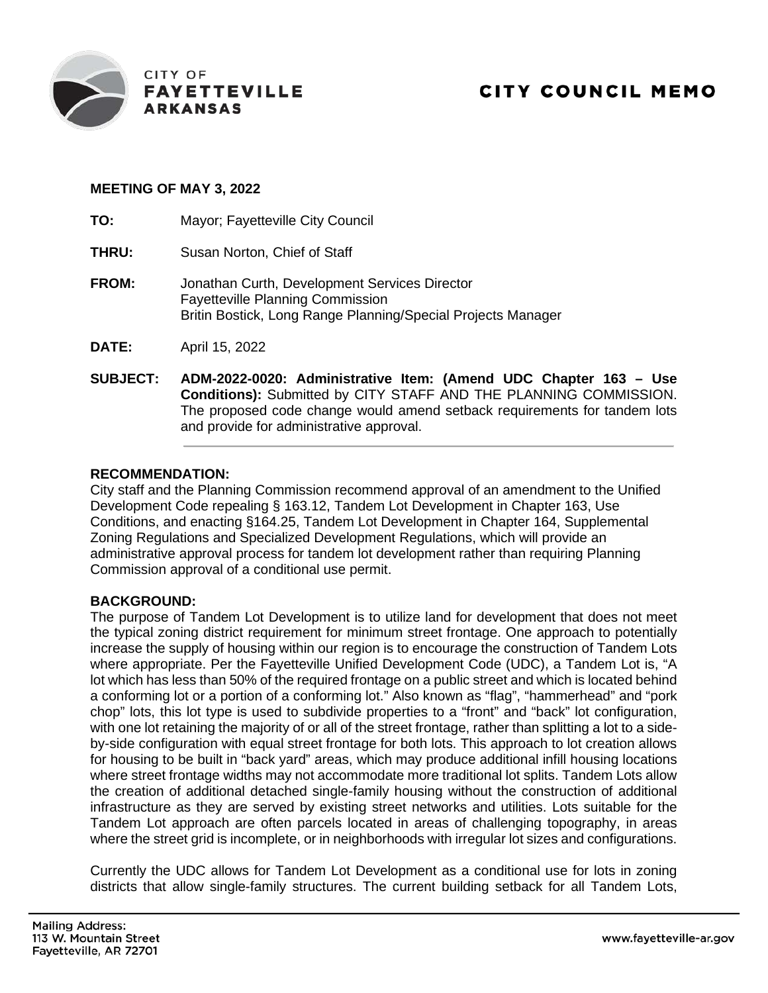

#### **MEETING OF MAY 3, 2022**

**TO:** Mayor; Fayetteville City Council

- **THRU:** Susan Norton, Chief of Staff
- **FROM:** Jonathan Curth, Development Services Director Fayetteville Planning Commission Britin Bostick, Long Range Planning/Special Projects Manager

**DATE:** April 15, 2022

**SUBJECT: ADM-2022-0020: Administrative Item: (Amend UDC Chapter 163 – Use Conditions):** Submitted by CITY STAFF AND THE PLANNING COMMISSION. The proposed code change would amend setback requirements for tandem lots and provide for administrative approval.

#### **RECOMMENDATION:**

City staff and the Planning Commission recommend approval of an amendment to the Unified Development Code repealing § 163.12, Tandem Lot Development in Chapter 163, Use Conditions, and enacting §164.25, Tandem Lot Development in Chapter 164, Supplemental Zoning Regulations and Specialized Development Regulations, which will provide an administrative approval process for tandem lot development rather than requiring Planning Commission approval of a conditional use permit.

#### **BACKGROUND:**

The purpose of Tandem Lot Development is to utilize land for development that does not meet the typical zoning district requirement for minimum street frontage. One approach to potentially increase the supply of housing within our region is to encourage the construction of Tandem Lots where appropriate. Per the Fayetteville Unified Development Code (UDC), a Tandem Lot is, "A lot which has less than 50% of the required frontage on a public street and which is located behind a conforming lot or a portion of a conforming lot." Also known as "flag", "hammerhead" and "pork chop" lots, this lot type is used to subdivide properties to a "front" and "back" lot configuration, with one lot retaining the majority of or all of the street frontage, rather than splitting a lot to a sideby-side configuration with equal street frontage for both lots. This approach to lot creation allows for housing to be built in "back yard" areas, which may produce additional infill housing locations where street frontage widths may not accommodate more traditional lot splits. Tandem Lots allow the creation of additional detached single-family housing without the construction of additional infrastructure as they are served by existing street networks and utilities. Lots suitable for the Tandem Lot approach are often parcels located in areas of challenging topography, in areas where the street grid is incomplete, or in neighborhoods with irregular lot sizes and configurations.

Currently the UDC allows for Tandem Lot Development as a conditional use for lots in zoning districts that allow single-family structures. The current building setback for all Tandem Lots,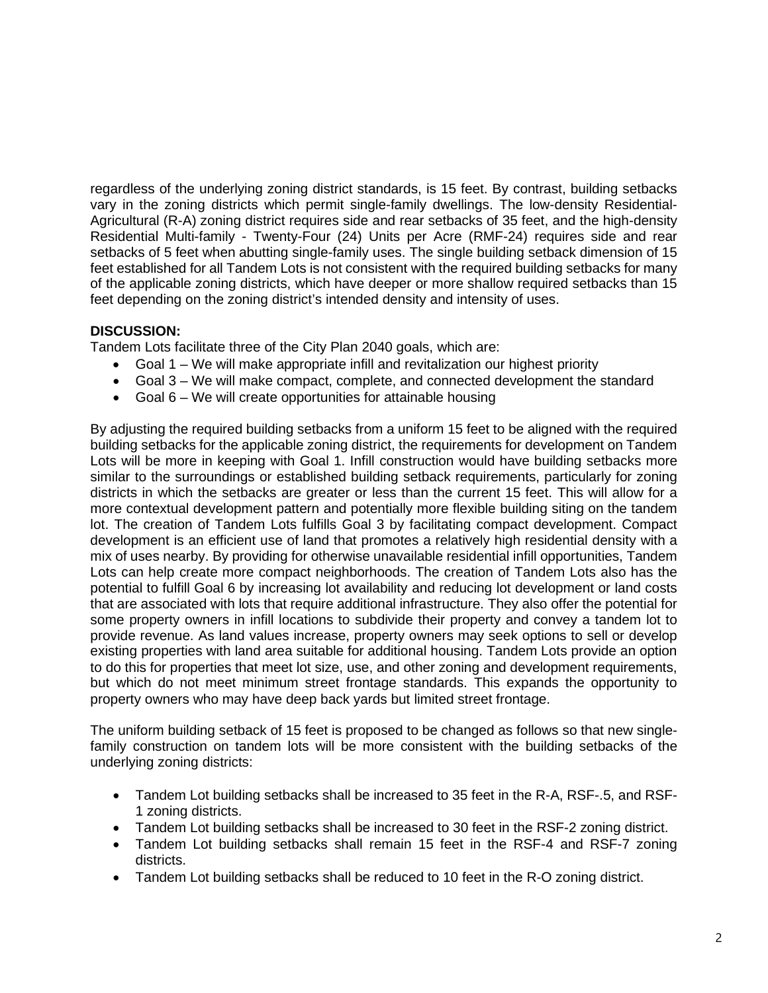regardless of the underlying zoning district standards, is 15 feet. By contrast, building setbacks vary in the zoning districts which permit single-family dwellings. The low-density Residential-Agricultural (R-A) zoning district requires side and rear setbacks of 35 feet, and the high-density Residential Multi-family - Twenty-Four (24) Units per Acre (RMF-24) requires side and rear setbacks of 5 feet when abutting single-family uses. The single building setback dimension of 15 feet established for all Tandem Lots is not consistent with the required building setbacks for many of the applicable zoning districts, which have deeper or more shallow required setbacks than 15 feet depending on the zoning district's intended density and intensity of uses.

#### **DISCUSSION:**

Tandem Lots facilitate three of the City Plan 2040 goals, which are:

- Goal 1 We will make appropriate infill and revitalization our highest priority
- Goal 3 We will make compact, complete, and connected development the standard
- Goal  $6 -$  We will create opportunities for attainable housing

By adjusting the required building setbacks from a uniform 15 feet to be aligned with the required building setbacks for the applicable zoning district, the requirements for development on Tandem Lots will be more in keeping with Goal 1. Infill construction would have building setbacks more similar to the surroundings or established building setback requirements, particularly for zoning districts in which the setbacks are greater or less than the current 15 feet. This will allow for a more contextual development pattern and potentially more flexible building siting on the tandem lot. The creation of Tandem Lots fulfills Goal 3 by facilitating compact development. Compact development is an efficient use of land that promotes a relatively high residential density with a mix of uses nearby. By providing for otherwise unavailable residential infill opportunities, Tandem Lots can help create more compact neighborhoods. The creation of Tandem Lots also has the potential to fulfill Goal 6 by increasing lot availability and reducing lot development or land costs that are associated with lots that require additional infrastructure. They also offer the potential for some property owners in infill locations to subdivide their property and convey a tandem lot to provide revenue. As land values increase, property owners may seek options to sell or develop existing properties with land area suitable for additional housing. Tandem Lots provide an option to do this for properties that meet lot size, use, and other zoning and development requirements, but which do not meet minimum street frontage standards. This expands the opportunity to property owners who may have deep back yards but limited street frontage.

The uniform building setback of 15 feet is proposed to be changed as follows so that new singlefamily construction on tandem lots will be more consistent with the building setbacks of the underlying zoning districts:

- Tandem Lot building setbacks shall be increased to 35 feet in the R-A, RSF-.5, and RSF-1 zoning districts.
- Tandem Lot building setbacks shall be increased to 30 feet in the RSF-2 zoning district.
- Tandem Lot building setbacks shall remain 15 feet in the RSF-4 and RSF-7 zoning districts.
- Tandem Lot building setbacks shall be reduced to 10 feet in the R-O zoning district.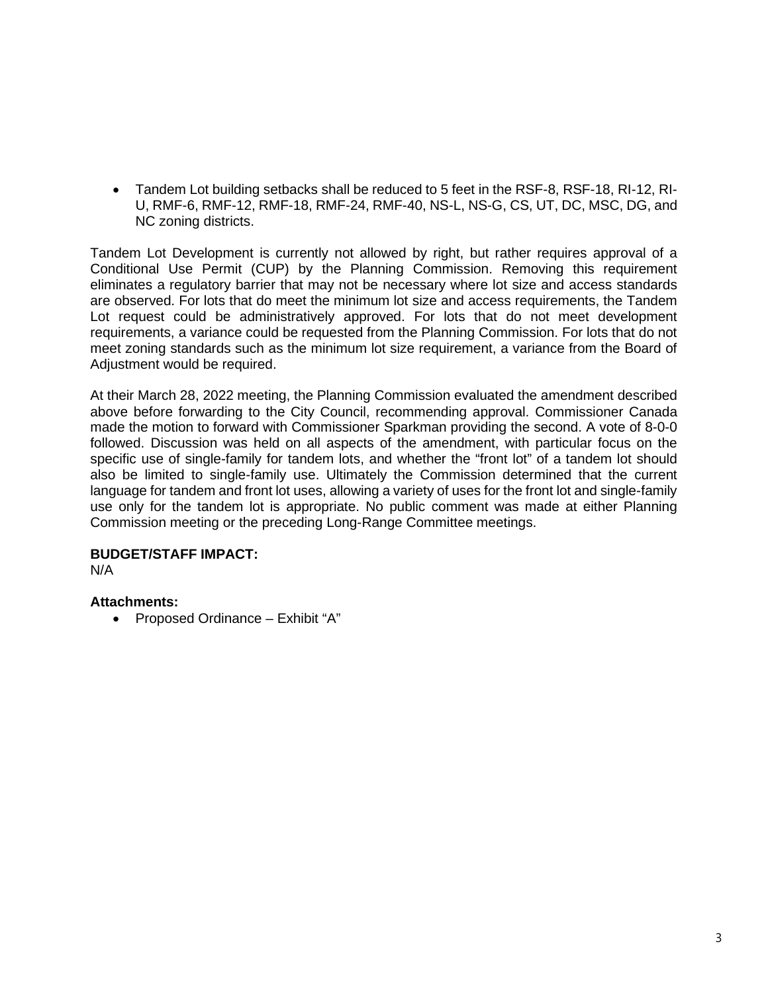• Tandem Lot building setbacks shall be reduced to 5 feet in the RSF-8, RSF-18, RI-12, RI-U, RMF-6, RMF-12, RMF-18, RMF-24, RMF-40, NS-L, NS-G, CS, UT, DC, MSC, DG, and NC zoning districts.

Tandem Lot Development is currently not allowed by right, but rather requires approval of a Conditional Use Permit (CUP) by the Planning Commission. Removing this requirement eliminates a regulatory barrier that may not be necessary where lot size and access standards are observed. For lots that do meet the minimum lot size and access requirements, the Tandem Lot request could be administratively approved. For lots that do not meet development requirements, a variance could be requested from the Planning Commission. For lots that do not meet zoning standards such as the minimum lot size requirement, a variance from the Board of Adjustment would be required.

At their March 28, 2022 meeting, the Planning Commission evaluated the amendment described above before forwarding to the City Council, recommending approval. Commissioner Canada made the motion to forward with Commissioner Sparkman providing the second. A vote of 8-0-0 followed. Discussion was held on all aspects of the amendment, with particular focus on the specific use of single-family for tandem lots, and whether the "front lot" of a tandem lot should also be limited to single-family use. Ultimately the Commission determined that the current language for tandem and front lot uses, allowing a variety of uses for the front lot and single-family use only for the tandem lot is appropriate. No public comment was made at either Planning Commission meeting or the preceding Long-Range Committee meetings.

#### **BUDGET/STAFF IMPACT:**

N/A

#### **Attachments:**

• Proposed Ordinance – Exhibit "A"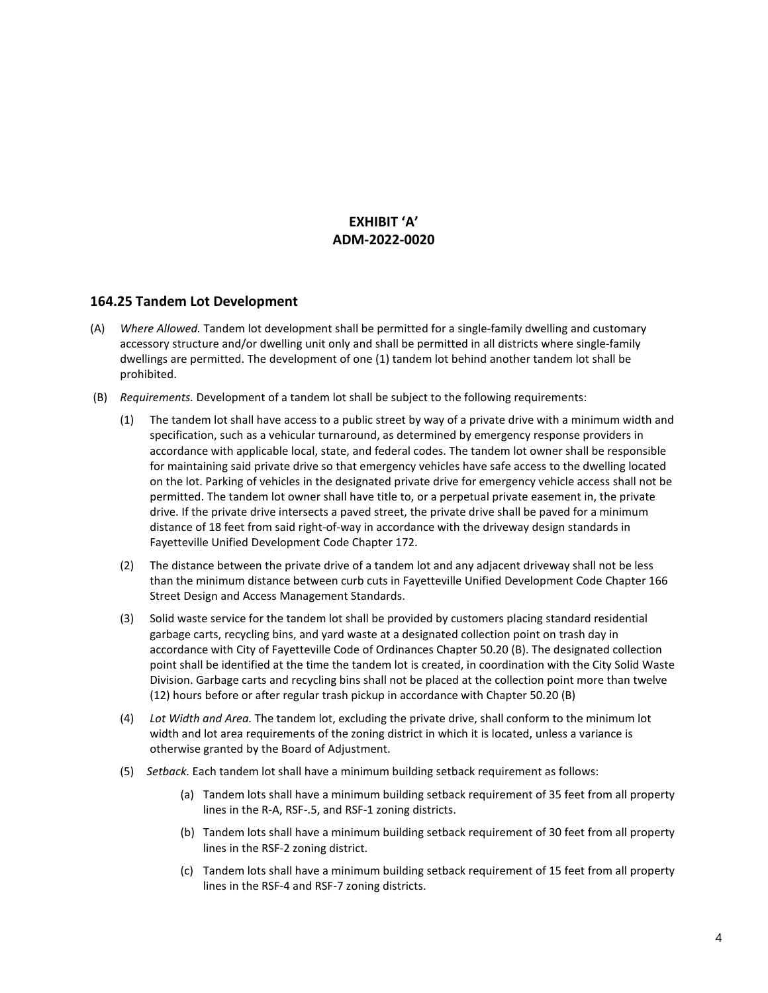#### **EXHIBIT 'A' ADM-2022-0020**

#### **164.25 Tandem Lot Development**

- (A) *Where Allowed.* Tandem lot development shall be permitted for a single-family dwelling and customary accessory structure and/or dwelling unit only and shall be permitted in all districts where single-family dwellings are permitted. The development of one (1) tandem lot behind another tandem lot shall be prohibited.
- (B) *Requirements.* Development of a tandem lot shall be subject to the following requirements:
	- (1) The tandem lot shall have access to a public street by way of a private drive with a minimum width and specification, such as a vehicular turnaround, as determined by emergency response providers in accordance with applicable local, state, and federal codes. The tandem lot owner shall be responsible for maintaining said private drive so that emergency vehicles have safe access to the dwelling located on the lot. Parking of vehicles in the designated private drive for emergency vehicle access shall not be permitted. The tandem lot owner shall have title to, or a perpetual private easement in, the private drive. If the private drive intersects a paved street, the private drive shall be paved for a minimum distance of 18 feet from said right-of-way in accordance with the driveway design standards in Fayetteville Unified Development Code Chapter 172.
	- (2) The distance between the private drive of a tandem lot and any adjacent driveway shall not be less than the minimum distance between curb cuts in Fayetteville Unified Development Code Chapter 166 Street Design and Access Management Standards.
	- (3) Solid waste service for the tandem lot shall be provided by customers placing standard residential garbage carts, recycling bins, and yard waste at a designated collection point on trash day in accordance with City of Fayetteville Code of Ordinances Chapter 50.20 (B). The designated collection point shall be identified at the time the tandem lot is created, in coordination with the City Solid Waste Division. Garbage carts and recycling bins shall not be placed at the collection point more than twelve (12) hours before or after regular trash pickup in accordance with Chapter 50.20 (B)
	- (4) *Lot Width and Area.* The tandem lot, excluding the private drive, shall conform to the minimum lot width and lot area requirements of the zoning district in which it is located, unless a variance is otherwise granted by the Board of Adjustment.
	- (5) *Setback.* Each tandem lot shall have a minimum building setback requirement as follows:
		- (a) Tandem lots shall have a minimum building setback requirement of 35 feet from all property lines in the R-A, RSF-.5, and RSF-1 zoning districts.
		- (b) Tandem lots shall have a minimum building setback requirement of 30 feet from all property lines in the RSF-2 zoning district.
		- (c) Tandem lots shall have a minimum building setback requirement of 15 feet from all property lines in the RSF-4 and RSF-7 zoning districts.